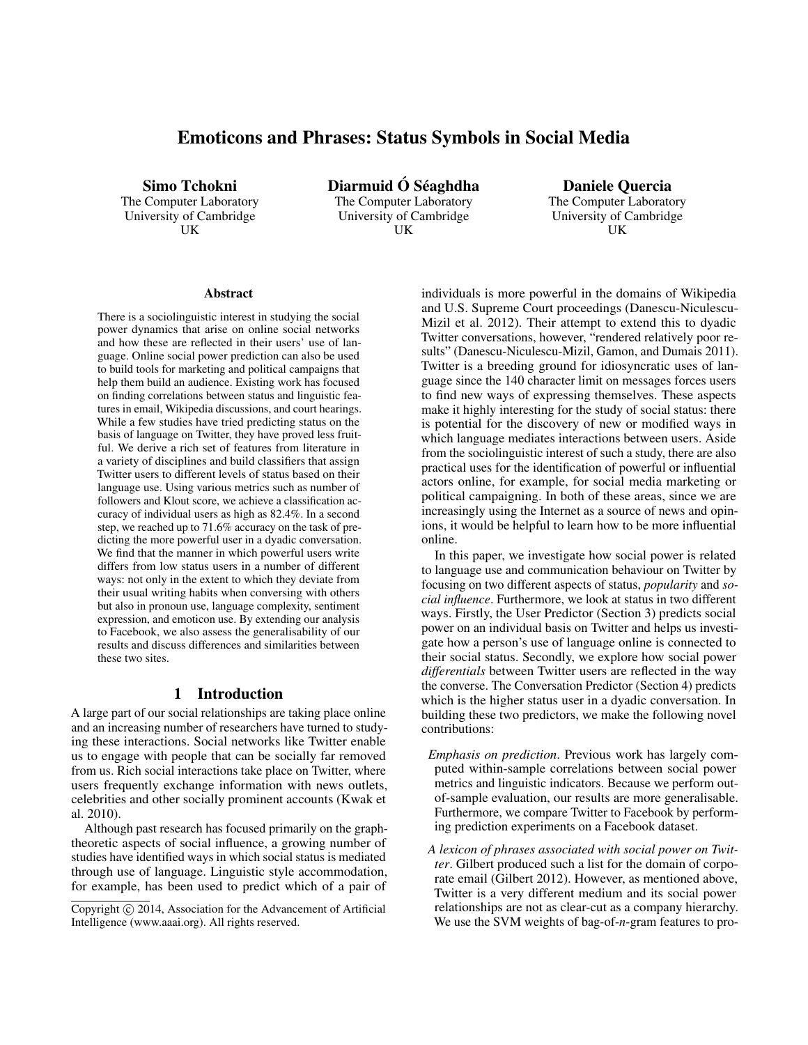# Emoticons and Phrases: Status Symbols in Social Media

Simo Tchokni

The Computer Laboratory University of Cambridge UK

Diarmuid Ó Séaghdha The Computer Laboratory University of Cambridge UK

Daniele Quercia The Computer Laboratory University of Cambridge UK

#### **Abstract**

There is a sociolinguistic interest in studying the social power dynamics that arise on online social networks and how these are reflected in their users' use of language. Online social power prediction can also be used to build tools for marketing and political campaigns that help them build an audience. Existing work has focused on finding correlations between status and linguistic features in email, Wikipedia discussions, and court hearings. While a few studies have tried predicting status on the basis of language on Twitter, they have proved less fruitful. We derive a rich set of features from literature in a variety of disciplines and build classifiers that assign Twitter users to different levels of status based on their language use. Using various metrics such as number of followers and Klout score, we achieve a classification accuracy of individual users as high as 82.4%. In a second step, we reached up to 71.6% accuracy on the task of predicting the more powerful user in a dyadic conversation. We find that the manner in which powerful users write differs from low status users in a number of different ways: not only in the extent to which they deviate from their usual writing habits when conversing with others but also in pronoun use, language complexity, sentiment expression, and emoticon use. By extending our analysis to Facebook, we also assess the generalisability of our results and discuss differences and similarities between these two sites.

### 1 Introduction

A large part of our social relationships are taking place online and an increasing number of researchers have turned to studying these interactions. Social networks like Twitter enable us to engage with people that can be socially far removed from us. Rich social interactions take place on Twitter, where users frequently exchange information with news outlets, celebrities and other socially prominent accounts (Kwak et al. 2010).

Although past research has focused primarily on the graphtheoretic aspects of social influence, a growing number of studies have identified ways in which social status is mediated through use of language. Linguistic style accommodation, for example, has been used to predict which of a pair of individuals is more powerful in the domains of Wikipedia and U.S. Supreme Court proceedings (Danescu-Niculescu-Mizil et al. 2012). Their attempt to extend this to dyadic Twitter conversations, however, "rendered relatively poor results" (Danescu-Niculescu-Mizil, Gamon, and Dumais 2011). Twitter is a breeding ground for idiosyncratic uses of language since the 140 character limit on messages forces users to find new ways of expressing themselves. These aspects make it highly interesting for the study of social status: there is potential for the discovery of new or modified ways in which language mediates interactions between users. Aside from the sociolinguistic interest of such a study, there are also practical uses for the identification of powerful or influential actors online, for example, for social media marketing or political campaigning. In both of these areas, since we are increasingly using the Internet as a source of news and opinions, it would be helpful to learn how to be more influential online.

In this paper, we investigate how social power is related to language use and communication behaviour on Twitter by focusing on two different aspects of status, *popularity* and *social influence*. Furthermore, we look at status in two different ways. Firstly, the User Predictor (Section 3) predicts social power on an individual basis on Twitter and helps us investigate how a person's use of language online is connected to their social status. Secondly, we explore how social power *differentials* between Twitter users are reflected in the way the converse. The Conversation Predictor (Section 4) predicts which is the higher status user in a dyadic conversation. In building these two predictors, we make the following novel contributions:

- *Emphasis on prediction*. Previous work has largely computed within-sample correlations between social power metrics and linguistic indicators. Because we perform outof-sample evaluation, our results are more generalisable. Furthermore, we compare Twitter to Facebook by performing prediction experiments on a Facebook dataset.
- *A lexicon of phrases associated with social power on Twitter*. Gilbert produced such a list for the domain of corporate email (Gilbert 2012). However, as mentioned above, Twitter is a very different medium and its social power relationships are not as clear-cut as a company hierarchy. We use the SVM weights of bag-of-*n*-gram features to pro-

Copyright (c) 2014, Association for the Advancement of Artificial Intelligence (www.aaai.org). All rights reserved.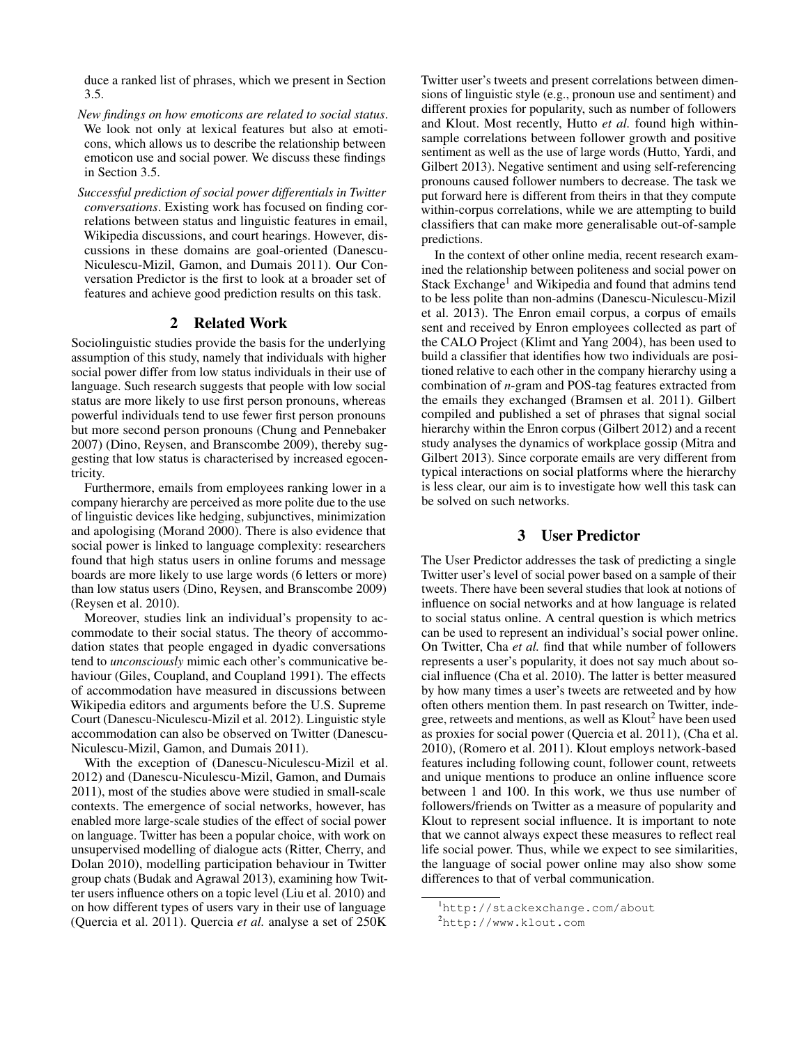duce a ranked list of phrases, which we present in Section 3.5.

- *New findings on how emoticons are related to social status*. We look not only at lexical features but also at emoticons, which allows us to describe the relationship between emoticon use and social power. We discuss these findings in Section 3.5.
- *Successful prediction of social power differentials in Twitter conversations*. Existing work has focused on finding correlations between status and linguistic features in email, Wikipedia discussions, and court hearings. However, discussions in these domains are goal-oriented (Danescu-Niculescu-Mizil, Gamon, and Dumais 2011). Our Conversation Predictor is the first to look at a broader set of features and achieve good prediction results on this task.

## 2 Related Work

Sociolinguistic studies provide the basis for the underlying assumption of this study, namely that individuals with higher social power differ from low status individuals in their use of language. Such research suggests that people with low social status are more likely to use first person pronouns, whereas powerful individuals tend to use fewer first person pronouns but more second person pronouns (Chung and Pennebaker 2007) (Dino, Reysen, and Branscombe 2009), thereby suggesting that low status is characterised by increased egocentricity.

Furthermore, emails from employees ranking lower in a company hierarchy are perceived as more polite due to the use of linguistic devices like hedging, subjunctives, minimization and apologising (Morand 2000). There is also evidence that social power is linked to language complexity: researchers found that high status users in online forums and message boards are more likely to use large words (6 letters or more) than low status users (Dino, Reysen, and Branscombe 2009) (Reysen et al. 2010).

Moreover, studies link an individual's propensity to accommodate to their social status. The theory of accommodation states that people engaged in dyadic conversations tend to *unconsciously* mimic each other's communicative behaviour (Giles, Coupland, and Coupland 1991). The effects of accommodation have measured in discussions between Wikipedia editors and arguments before the U.S. Supreme Court (Danescu-Niculescu-Mizil et al. 2012). Linguistic style accommodation can also be observed on Twitter (Danescu-Niculescu-Mizil, Gamon, and Dumais 2011).

With the exception of (Danescu-Niculescu-Mizil et al. 2012) and (Danescu-Niculescu-Mizil, Gamon, and Dumais 2011), most of the studies above were studied in small-scale contexts. The emergence of social networks, however, has enabled more large-scale studies of the effect of social power on language. Twitter has been a popular choice, with work on unsupervised modelling of dialogue acts (Ritter, Cherry, and Dolan 2010), modelling participation behaviour in Twitter group chats (Budak and Agrawal 2013), examining how Twitter users influence others on a topic level (Liu et al. 2010) and on how different types of users vary in their use of language (Quercia et al. 2011). Quercia *et al.* analyse a set of 250K Twitter user's tweets and present correlations between dimensions of linguistic style (e.g., pronoun use and sentiment) and different proxies for popularity, such as number of followers and Klout. Most recently, Hutto *et al.* found high withinsample correlations between follower growth and positive sentiment as well as the use of large words (Hutto, Yardi, and Gilbert 2013). Negative sentiment and using self-referencing pronouns caused follower numbers to decrease. The task we put forward here is different from theirs in that they compute within-corpus correlations, while we are attempting to build classifiers that can make more generalisable out-of-sample predictions.

In the context of other online media, recent research examined the relationship between politeness and social power on Stack Exchange<sup>1</sup> and Wikipedia and found that admins tend to be less polite than non-admins (Danescu-Niculescu-Mizil et al. 2013). The Enron email corpus, a corpus of emails sent and received by Enron employees collected as part of the CALO Project (Klimt and Yang 2004), has been used to build a classifier that identifies how two individuals are positioned relative to each other in the company hierarchy using a combination of *n*-gram and POS-tag features extracted from the emails they exchanged (Bramsen et al. 2011). Gilbert compiled and published a set of phrases that signal social hierarchy within the Enron corpus (Gilbert 2012) and a recent study analyses the dynamics of workplace gossip (Mitra and Gilbert 2013). Since corporate emails are very different from typical interactions on social platforms where the hierarchy is less clear, our aim is to investigate how well this task can be solved on such networks.

# 3 User Predictor

The User Predictor addresses the task of predicting a single Twitter user's level of social power based on a sample of their tweets. There have been several studies that look at notions of influence on social networks and at how language is related to social status online. A central question is which metrics can be used to represent an individual's social power online. On Twitter, Cha *et al.* find that while number of followers represents a user's popularity, it does not say much about social influence (Cha et al. 2010). The latter is better measured by how many times a user's tweets are retweeted and by how often others mention them. In past research on Twitter, indegree, retweets and mentions, as well as  $Klout<sup>2</sup>$  have been used as proxies for social power (Quercia et al. 2011), (Cha et al. 2010), (Romero et al. 2011). Klout employs network-based features including following count, follower count, retweets and unique mentions to produce an online influence score between 1 and 100. In this work, we thus use number of followers/friends on Twitter as a measure of popularity and Klout to represent social influence. It is important to note that we cannot always expect these measures to reflect real life social power. Thus, while we expect to see similarities, the language of social power online may also show some differences to that of verbal communication.

<sup>1</sup>http://stackexchange.com/about

<sup>2</sup>http://www.klout.com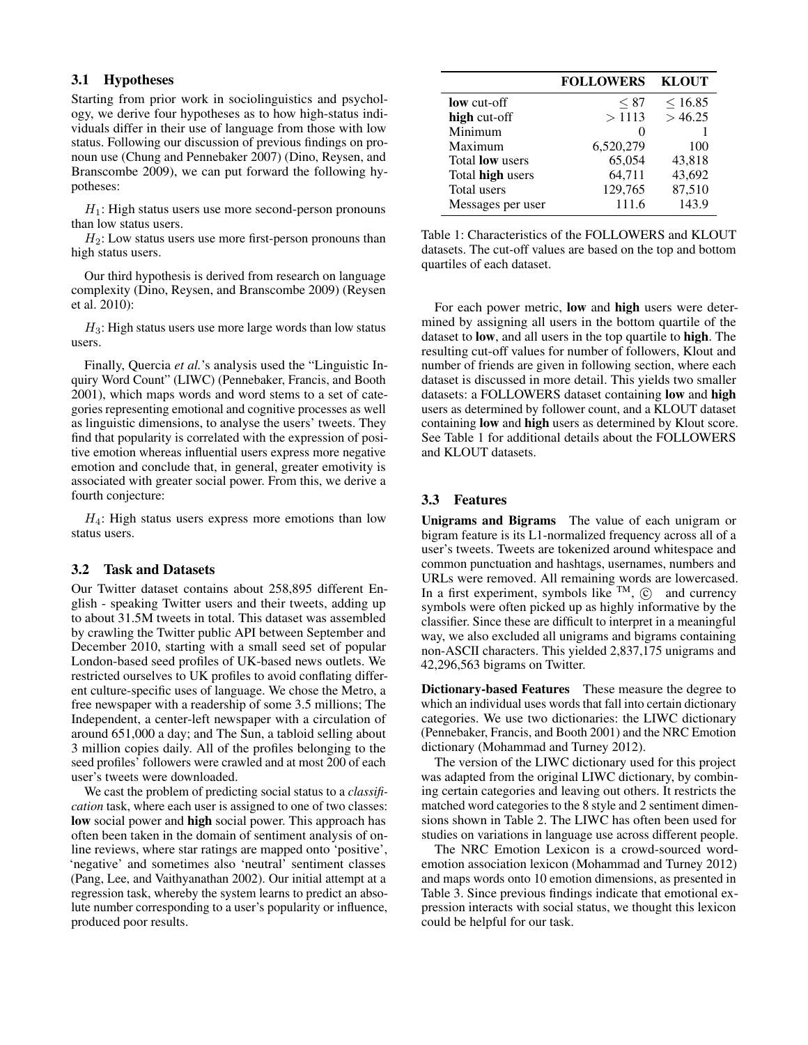### 3.1 Hypotheses

Starting from prior work in sociolinguistics and psychology, we derive four hypotheses as to how high-status individuals differ in their use of language from those with low status. Following our discussion of previous findings on pronoun use (Chung and Pennebaker 2007) (Dino, Reysen, and Branscombe 2009), we can put forward the following hypotheses:

 $H_1$ : High status users use more second-person pronouns than low status users.

 $H_2$ : Low status users use more first-person pronouns than high status users.

Our third hypothesis is derived from research on language complexity (Dino, Reysen, and Branscombe 2009) (Reysen et al. 2010):

 $H_3$ : High status users use more large words than low status users.

Finally, Quercia *et al.*'s analysis used the "Linguistic Inquiry Word Count" (LIWC) (Pennebaker, Francis, and Booth 2001), which maps words and word stems to a set of categories representing emotional and cognitive processes as well as linguistic dimensions, to analyse the users' tweets. They find that popularity is correlated with the expression of positive emotion whereas influential users express more negative emotion and conclude that, in general, greater emotivity is associated with greater social power. From this, we derive a fourth conjecture:

 $H_4$ : High status users express more emotions than low status users.

## 3.2 Task and Datasets

Our Twitter dataset contains about 258,895 different English - speaking Twitter users and their tweets, adding up to about 31.5M tweets in total. This dataset was assembled by crawling the Twitter public API between September and December 2010, starting with a small seed set of popular London-based seed profiles of UK-based news outlets. We restricted ourselves to UK profiles to avoid conflating different culture-specific uses of language. We chose the Metro, a free newspaper with a readership of some 3.5 millions; The Independent, a center-left newspaper with a circulation of around 651,000 a day; and The Sun, a tabloid selling about 3 million copies daily. All of the profiles belonging to the seed profiles' followers were crawled and at most 200 of each user's tweets were downloaded.

We cast the problem of predicting social status to a *classification* task, where each user is assigned to one of two classes: low social power and high social power. This approach has often been taken in the domain of sentiment analysis of online reviews, where star ratings are mapped onto 'positive', 'negative' and sometimes also 'neutral' sentiment classes (Pang, Lee, and Vaithyanathan 2002). Our initial attempt at a regression task, whereby the system learns to predict an absolute number corresponding to a user's popularity or influence, produced poor results.

|                         | <b>FOLLOWERS</b> | <b>KLOUT</b> |
|-------------------------|------------------|--------------|
| <b>low</b> cut-off      | < 87             | < 16.85      |
| high cut-off            | >1113            | >46.25       |
| Minimum                 |                  |              |
| Maximum                 | 6,520,279        | 100          |
| Total <b>low</b> users  | 65,054           | 43,818       |
| Total <b>high</b> users | 64,711           | 43,692       |
| Total users             | 129,765          | 87,510       |
| Messages per user       | 111.6            | 143.9        |

Table 1: Characteristics of the FOLLOWERS and KLOUT datasets. The cut-off values are based on the top and bottom quartiles of each dataset.

For each power metric, low and high users were determined by assigning all users in the bottom quartile of the dataset to low, and all users in the top quartile to high. The resulting cut-off values for number of followers, Klout and number of friends are given in following section, where each dataset is discussed in more detail. This yields two smaller datasets: a FOLLOWERS dataset containing low and high users as determined by follower count, and a KLOUT dataset containing low and high users as determined by Klout score. See Table 1 for additional details about the FOLLOWERS and KLOUT datasets.

#### 3.3 Features

Unigrams and Bigrams The value of each unigram or bigram feature is its L1-normalized frequency across all of a user's tweets. Tweets are tokenized around whitespace and common punctuation and hashtags, usernames, numbers and URLs were removed. All remaining words are lowercased. In a first experiment, symbols like  $TM$ ,  $\odot$  and currency symbols were often picked up as highly informative by the classifier. Since these are difficult to interpret in a meaningful way, we also excluded all unigrams and bigrams containing non-ASCII characters. This yielded 2,837,175 unigrams and 42,296,563 bigrams on Twitter.

Dictionary-based Features These measure the degree to which an individual uses words that fall into certain dictionary categories. We use two dictionaries: the LIWC dictionary (Pennebaker, Francis, and Booth 2001) and the NRC Emotion dictionary (Mohammad and Turney 2012).

The version of the LIWC dictionary used for this project was adapted from the original LIWC dictionary, by combining certain categories and leaving out others. It restricts the matched word categories to the 8 style and 2 sentiment dimensions shown in Table 2. The LIWC has often been used for studies on variations in language use across different people.

The NRC Emotion Lexicon is a crowd-sourced wordemotion association lexicon (Mohammad and Turney 2012) and maps words onto 10 emotion dimensions, as presented in Table 3. Since previous findings indicate that emotional expression interacts with social status, we thought this lexicon could be helpful for our task.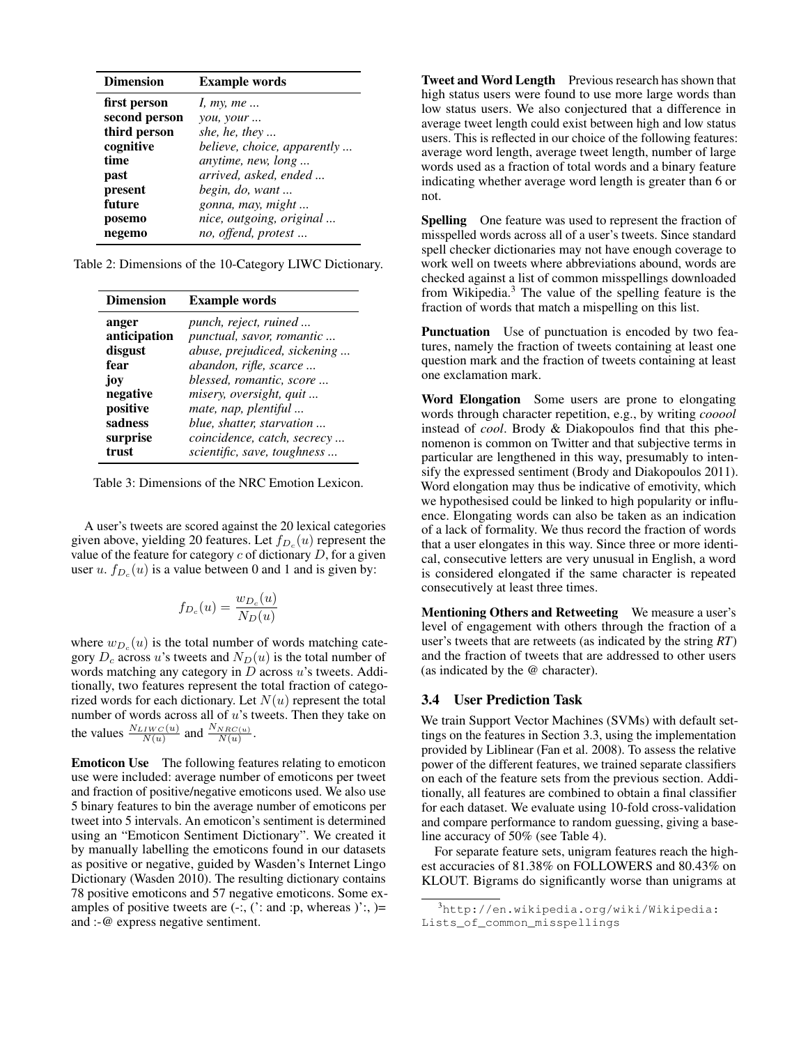| <b>Dimension</b> | <b>Example</b> words        |
|------------------|-----------------------------|
| first person     | I, my, me                   |
| second person    | you, your                   |
| third person     | she, he, they               |
| cognitive        | believe, choice, apparently |
| time             | <i>anytime, new, long</i>   |
| past             | arrived, asked, ended       |
| present          | begin, do, want             |
| future           | gonna, may, might           |
| posemo           | nice, outgoing, original    |
| negemo           | no, offend, protest         |

Table 2: Dimensions of the 10-Category LIWC Dictionary.

| <b>Dimension</b> | <b>Example</b> words          |
|------------------|-------------------------------|
| anger            | <i>punch, reject, ruined </i> |
| anticipation     | punctual, savor, romantic     |
| disgust          | abuse, prejudiced, sickening  |
| fear             | abandon, rifle, scarce        |
| joy              | blessed, romantic, score      |
| negative         | misery, oversight, quit       |
| positive         | mate, nap, plentiful          |
| sadness          | blue, shatter, starvation     |
| surprise         | coincidence, catch, secrecy   |
| trust            | scientific, save, toughness   |

Table 3: Dimensions of the NRC Emotion Lexicon.

A user's tweets are scored against the 20 lexical categories given above, yielding 20 features. Let  $f_{D_c}(u)$  represent the value of the feature for category  $c$  of dictionary  $D$ , for a given user  $u$ .  $f_{D_c}(u)$  is a value between 0 and 1 and is given by:

$$
f_{D_c}(u) = \frac{w_{D_c}(u)}{N_D(u)}
$$

where  $w_{D_c}(u)$  is the total number of words matching category  $D_c$  across u's tweets and  $N_D(u)$  is the total number of words matching any category in  $D$  across  $u$ 's tweets. Additionally, two features represent the total fraction of categorized words for each dictionary. Let  $N(u)$  represent the total number of words across all of  $u$ 's tweets. Then they take on the values  $\frac{N_{LIWC}(u)}{N(u)}$  and  $\frac{N_{NRC(u)}}{N(u)}$ .

Emoticon Use The following features relating to emoticon use were included: average number of emoticons per tweet and fraction of positive/negative emoticons used. We also use 5 binary features to bin the average number of emoticons per tweet into 5 intervals. An emoticon's sentiment is determined using an "Emoticon Sentiment Dictionary". We created it by manually labelling the emoticons found in our datasets as positive or negative, guided by Wasden's Internet Lingo Dictionary (Wasden 2010). The resulting dictionary contains 78 positive emoticons and 57 negative emoticons. Some examples of positive tweets are  $(-;$ ,  $(':$  and :p, whereas  $)':$ ,  $)=$ and :-@ express negative sentiment.

Tweet and Word Length Previous research has shown that high status users were found to use more large words than low status users. We also conjectured that a difference in average tweet length could exist between high and low status users. This is reflected in our choice of the following features: average word length, average tweet length, number of large words used as a fraction of total words and a binary feature indicating whether average word length is greater than 6 or not.

Spelling One feature was used to represent the fraction of misspelled words across all of a user's tweets. Since standard spell checker dictionaries may not have enough coverage to work well on tweets where abbreviations abound, words are checked against a list of common misspellings downloaded from Wikipedia.<sup>3</sup> The value of the spelling feature is the fraction of words that match a mispelling on this list.

Punctuation Use of punctuation is encoded by two features, namely the fraction of tweets containing at least one question mark and the fraction of tweets containing at least one exclamation mark.

Word Elongation Some users are prone to elongating words through character repetition, e.g., by writing *cooool* instead of *cool*. Brody & Diakopoulos find that this phenomenon is common on Twitter and that subjective terms in particular are lengthened in this way, presumably to intensify the expressed sentiment (Brody and Diakopoulos 2011). Word elongation may thus be indicative of emotivity, which we hypothesised could be linked to high popularity or influence. Elongating words can also be taken as an indication of a lack of formality. We thus record the fraction of words that a user elongates in this way. Since three or more identical, consecutive letters are very unusual in English, a word is considered elongated if the same character is repeated consecutively at least three times.

Mentioning Others and Retweeting We measure a user's level of engagement with others through the fraction of a user's tweets that are retweets (as indicated by the string *RT*) and the fraction of tweets that are addressed to other users (as indicated by the @ character).

### 3.4 User Prediction Task

We train Support Vector Machines (SVMs) with default settings on the features in Section 3.3, using the implementation provided by Liblinear (Fan et al. 2008). To assess the relative power of the different features, we trained separate classifiers on each of the feature sets from the previous section. Additionally, all features are combined to obtain a final classifier for each dataset. We evaluate using 10-fold cross-validation and compare performance to random guessing, giving a baseline accuracy of 50% (see Table 4).

For separate feature sets, unigram features reach the highest accuracies of 81.38% on FOLLOWERS and 80.43% on KLOUT. Bigrams do significantly worse than unigrams at

<sup>3</sup>http://en.wikipedia.org/wiki/Wikipedia: Lists\_of\_common\_misspellings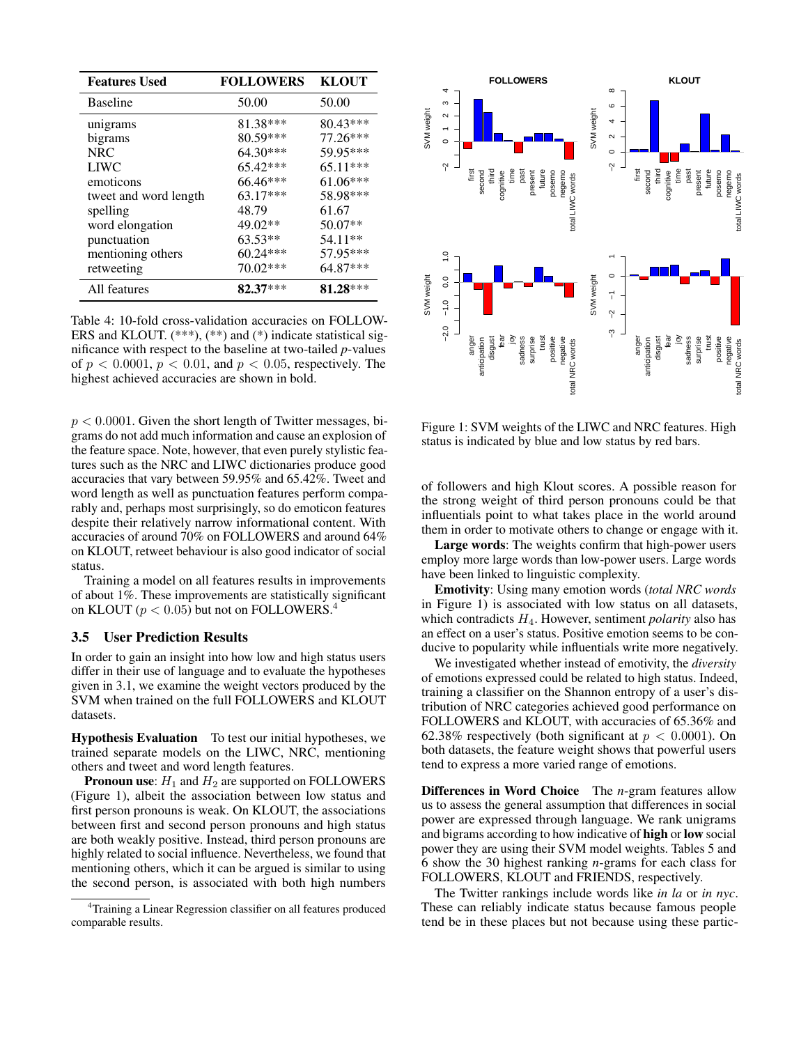| <b>Features Used</b>  | <b>FOLLOWERS</b> | <b>KLOUT</b> |
|-----------------------|------------------|--------------|
| <b>Baseline</b>       | 50.00            | 50.00        |
| unigrams              | 81.38***         | $80.43***$   |
| bigrams               | 80.59***         | 77.26***     |
| <b>NRC</b>            | 64.30***         | 59.95***     |
| <b>LIWC</b>           | 65.42***         | $65.11***$   |
| emoticons             | 66.46***         | 61.06***     |
| tweet and word length | 63.17***         | 58.98***     |
| spelling              | 48.79            | 61.67        |
| word elongation       | 49.02**          | 50.07**      |
| punctuation           | 63.53**          | 54.11**      |
| mentioning others     | 60.24***         | 57.95***     |
| retweeting            | 70.02***         | 64.87***     |
| All features          | $82.37***$       | 81.28***     |

Table 4: 10-fold cross-validation accuracies on FOLLOW-ERS and KLOUT.  $(***)$ ,  $(**)$  and  $(*)$  indicate statistical significance with respect to the baseline at two-tailed *p*-values of  $p < 0.0001$ ,  $p < 0.01$ , and  $p < 0.05$ , respectively. The highest achieved accuracies are shown in bold.

 $p < 0.0001$ . Given the short length of Twitter messages, bigrams do not add much information and cause an explosion of the feature space. Note, however, that even purely stylistic features such as the NRC and LIWC dictionaries produce good accuracies that vary between 59.95% and 65.42%. Tweet and word length as well as punctuation features perform comparably and, perhaps most surprisingly, so do emoticon features despite their relatively narrow informational content. With accuracies of around 70% on FOLLOWERS and around 64% on KLOUT, retweet behaviour is also good indicator of social status.

Training a model on all features results in improvements of about 1%. These improvements are statistically significant on KLOUT ( $p < 0.05$ ) but not on FOLLOWERS.

# 3.5 User Prediction Results

In order to gain an insight into how low and high status users differ in their use of language and to evaluate the hypotheses given in 3.1, we examine the weight vectors produced by the SVM when trained on the full FOLLOWERS and KLOUT datasets.

Hypothesis Evaluation To test our initial hypotheses, we trained separate models on the LIWC, NRC, mentioning others and tweet and word length features.

**Pronoun use:**  $H_1$  and  $H_2$  are supported on FOLLOWERS (Figure 1), albeit the association between low status and first person pronouns is weak. On KLOUT, the associations between first and second person pronouns and high status are both weakly positive. Instead, third person pronouns are highly related to social influence. Nevertheless, we found that mentioning others, which it can be argued is similar to using the second person, is associated with both high numbers



Figure 1: SVM weights of the LIWC and NRC features. High status is indicated by blue and low status by red bars.

of followers and high Klout scores. A possible reason for the strong weight of third person pronouns could be that influentials point to what takes place in the world around them in order to motivate others to change or engage with it.

Large words: The weights confirm that high-power users employ more large words than low-power users. Large words have been linked to linguistic complexity.

Emotivity: Using many emotion words (*total NRC words* in Figure 1) is associated with low status on all datasets, which contradicts H4. However, sentiment *polarity* also has an effect on a user's status. Positive emotion seems to be conducive to popularity while influentials write more negatively.

We investigated whether instead of emotivity, the *diversity* of emotions expressed could be related to high status. Indeed, training a classifier on the Shannon entropy of a user's distribution of NRC categories achieved good performance on FOLLOWERS and KLOUT, with accuracies of 65.36% and 62.38% respectively (both significant at  $p < 0.0001$ ). On both datasets, the feature weight shows that powerful users tend to express a more varied range of emotions.

Differences in Word Choice The *n*-gram features allow us to assess the general assumption that differences in social power are expressed through language. We rank unigrams and bigrams according to how indicative of high or low social power they are using their SVM model weights. Tables 5 and 6 show the 30 highest ranking *n*-grams for each class for FOLLOWERS, KLOUT and FRIENDS, respectively.

The Twitter rankings include words like *in la* or *in nyc*. These can reliably indicate status because famous people tend be in these places but not because using these partic-

<sup>4</sup>Training a Linear Regression classifier on all features produced comparable results.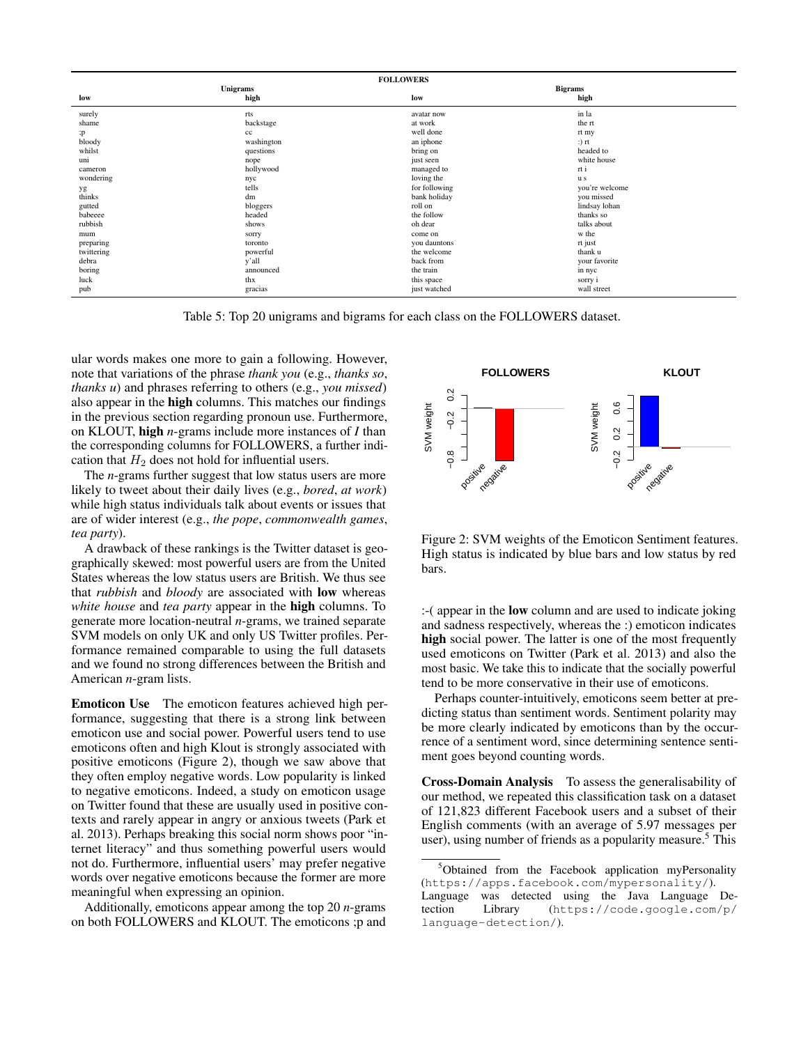| <b>FOLLOWERS</b> |            |               |                |
|------------------|------------|---------------|----------------|
| Unigrams         |            |               | <b>Bigrams</b> |
| low              | high       | low           | high           |
| surely           | rts        | avatar now    | in la          |
| shame            | backstage  | at work       | the rt         |
| ; p              | cc         | well done     | rt my          |
| bloody           | washington | an iphone     | $:$ ) rt       |
| whilst           | questions  | bring on      | headed to      |
| uni              | nope       | just seen     | white house    |
| cameron          | hollywood  | managed to    | rt i           |
| wondering        | nyc        | loving the    | u s            |
| yg               | tells      | for following | you're welcome |
| thinks           | dm         | bank holiday  | you missed     |
| gutted           | bloggers   | roll on       | lindsay lohan  |
| babeeee          | headed     | the follow    | thanks so      |
| rubbish          | shows      | oh dear       | talks about    |
| mum              | sorry      | come on       | w the          |
| preparing        | toronto    | you dauntons  | rt just        |
| twittering       | powerful   | the welcome   | thank u        |
| debra            | y'all      | back from     | your favorite  |
| boring           | announced  | the train     | in nyc         |
| luck             | thx        | this space    | sorry i        |
| pub              | gracias    | just watched  | wall street    |

Table 5: Top 20 unigrams and bigrams for each class on the FOLLOWERS dataset.

ular words makes one more to gain a following. However, note that variations of the phrase *thank you* (e.g., *thanks so*, *thanks u*) and phrases referring to others (e.g., *you missed*) also appear in the high columns. This matches our findings in the previous section regarding pronoun use. Furthermore, on KLOUT, high *n*-grams include more instances of *I* than the corresponding columns for FOLLOWERS, a further indication that  $H_2$  does not hold for influential users.

The *n*-grams further suggest that low status users are more likely to tweet about their daily lives (e.g., *bored*, *at work*) while high status individuals talk about events or issues that are of wider interest (e.g., *the pope*, *commonwealth games*, *tea party*).

A drawback of these rankings is the Twitter dataset is geographically skewed: most powerful users are from the United States whereas the low status users are British. We thus see that *rubbish* and *bloody* are associated with low whereas *white house* and *tea party* appear in the high columns. To generate more location-neutral *n*-grams, we trained separate SVM models on only UK and only US Twitter profiles. Performance remained comparable to using the full datasets and we found no strong differences between the British and American *n*-gram lists.

Emoticon Use The emoticon features achieved high performance, suggesting that there is a strong link between emoticon use and social power. Powerful users tend to use emoticons often and high Klout is strongly associated with positive emoticons (Figure 2), though we saw above that they often employ negative words. Low popularity is linked to negative emoticons. Indeed, a study on emoticon usage on Twitter found that these are usually used in positive contexts and rarely appear in angry or anxious tweets (Park et al. 2013). Perhaps breaking this social norm shows poor "internet literacy" and thus something powerful users would not do. Furthermore, influential users' may prefer negative words over negative emoticons because the former are more meaningful when expressing an opinion.

Additionally, emoticons appear among the top 20 *n*-grams on both FOLLOWERS and KLOUT. The emoticons ;p and



Figure 2: SVM weights of the Emoticon Sentiment features. High status is indicated by blue bars and low status by red bars.

:-( appear in the low column and are used to indicate joking and sadness respectively, whereas the :) emoticon indicates high social power. The latter is one of the most frequently used emoticons on Twitter (Park et al. 2013) and also the most basic. We take this to indicate that the socially powerful tend to be more conservative in their use of emoticons.

Perhaps counter-intuitively, emoticons seem better at predicting status than sentiment words. Sentiment polarity may be more clearly indicated by emoticons than by the occurrence of a sentiment word, since determining sentence sentiment goes beyond counting words.

Cross-Domain Analysis To assess the generalisability of our method, we repeated this classification task on a dataset of 121,823 different Facebook users and a subset of their English comments (with an average of 5.97 messages per user), using number of friends as a popularity measure.<sup>5</sup> This

<sup>5</sup>Obtained from the Facebook application myPersonality (https://apps.facebook.com/mypersonality/).

Language was detected using the Java Language Detection Library (https://code.google.com/p/ language-detection/).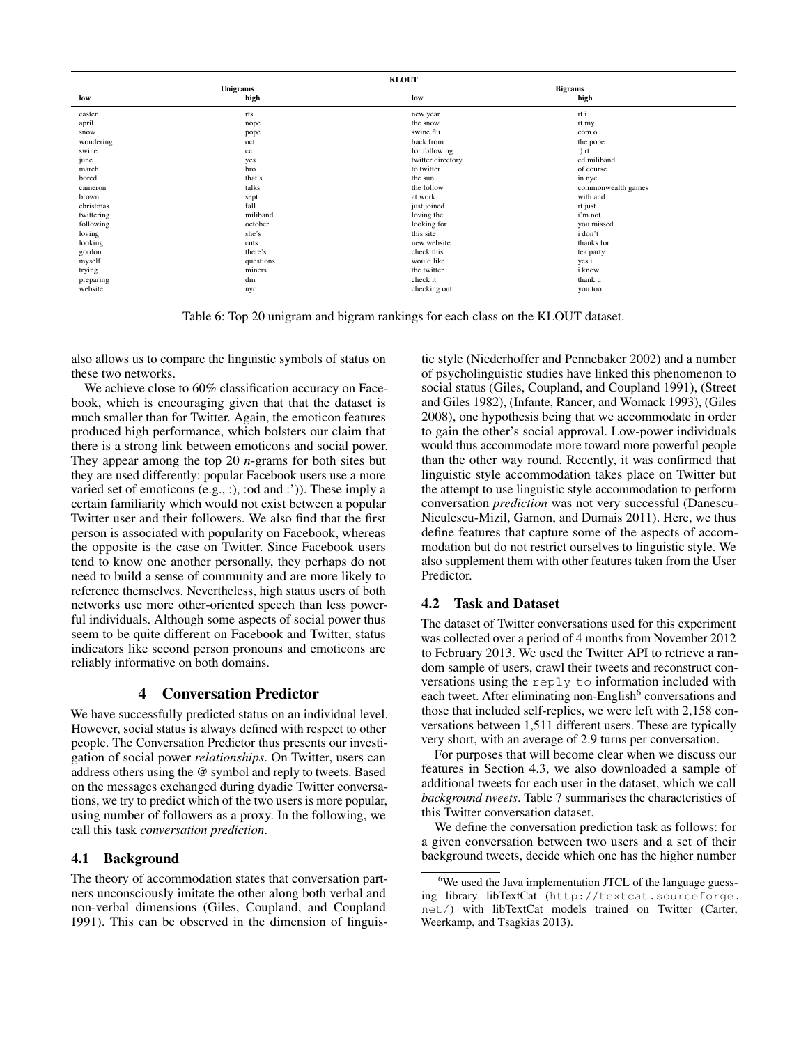| <b>KLOUT</b> |           |                   |                    |
|--------------|-----------|-------------------|--------------------|
| Unigrams     |           |                   | <b>Bigrams</b>     |
| low          | high      | low               | high               |
| easter       | rts       | new year          | rt i               |
| april        | nope      | the snow          | rt my              |
| snow         | pope      | swine flu         | com o              |
| wondering    | oct       | back from         | the pope           |
| swine        | cc        | for following     | $:$ ) rt           |
| june         | yes       | twitter directory | ed miliband        |
| march        | bro       | to twitter        | of course          |
| bored        | that's    | the sun           | in nyc             |
| cameron      | talks     | the follow        | commonwealth games |
| brown        | sept      | at work           | with and           |
| christmas    | fall      | just joined       | rt just            |
| twittering   | miliband  | loving the        | i'm not            |
| following    | october   | looking for       | you missed         |
| loving       | she's     | this site         | i don't            |
| looking      | cuts      | new website       | thanks for         |
| gordon       | there's   | check this        | tea party          |
| myself       | questions | would like        | yes i              |
| trying       | miners    | the twitter       | i know             |
| preparing    | dm        | check it          | thank u            |
| website      | nyc       | checking out      | you too            |

Table 6: Top 20 unigram and bigram rankings for each class on the KLOUT dataset.

also allows us to compare the linguistic symbols of status on these two networks.

We achieve close to 60% classification accuracy on Facebook, which is encouraging given that that the dataset is much smaller than for Twitter. Again, the emoticon features produced high performance, which bolsters our claim that there is a strong link between emoticons and social power. They appear among the top 20 *n*-grams for both sites but they are used differently: popular Facebook users use a more varied set of emoticons (e.g., :), :od and :')). These imply a certain familiarity which would not exist between a popular Twitter user and their followers. We also find that the first person is associated with popularity on Facebook, whereas the opposite is the case on Twitter. Since Facebook users tend to know one another personally, they perhaps do not need to build a sense of community and are more likely to reference themselves. Nevertheless, high status users of both networks use more other-oriented speech than less powerful individuals. Although some aspects of social power thus seem to be quite different on Facebook and Twitter, status indicators like second person pronouns and emoticons are reliably informative on both domains.

# 4 Conversation Predictor

We have successfully predicted status on an individual level. However, social status is always defined with respect to other people. The Conversation Predictor thus presents our investigation of social power *relationships*. On Twitter, users can address others using the @ symbol and reply to tweets. Based on the messages exchanged during dyadic Twitter conversations, we try to predict which of the two users is more popular, using number of followers as a proxy. In the following, we call this task *conversation prediction*.

# 4.1 Background

The theory of accommodation states that conversation partners unconsciously imitate the other along both verbal and non-verbal dimensions (Giles, Coupland, and Coupland 1991). This can be observed in the dimension of linguis-

tic style (Niederhoffer and Pennebaker 2002) and a number of psycholinguistic studies have linked this phenomenon to social status (Giles, Coupland, and Coupland 1991), (Street and Giles 1982), (Infante, Rancer, and Womack 1993), (Giles 2008), one hypothesis being that we accommodate in order to gain the other's social approval. Low-power individuals would thus accommodate more toward more powerful people than the other way round. Recently, it was confirmed that linguistic style accommodation takes place on Twitter but the attempt to use linguistic style accommodation to perform conversation *prediction* was not very successful (Danescu-Niculescu-Mizil, Gamon, and Dumais 2011). Here, we thus define features that capture some of the aspects of accommodation but do not restrict ourselves to linguistic style. We also supplement them with other features taken from the User Predictor.

# 4.2 Task and Dataset

The dataset of Twitter conversations used for this experiment was collected over a period of 4 months from November 2012 to February 2013. We used the Twitter API to retrieve a random sample of users, crawl their tweets and reconstruct conversations using the reply\_to information included with each tweet. After eliminating non-English<sup>6</sup> conversations and those that included self-replies, we were left with 2,158 conversations between 1,511 different users. These are typically very short, with an average of 2.9 turns per conversation.

For purposes that will become clear when we discuss our features in Section 4.3, we also downloaded a sample of additional tweets for each user in the dataset, which we call *background tweets*. Table 7 summarises the characteristics of this Twitter conversation dataset.

We define the conversation prediction task as follows: for a given conversation between two users and a set of their background tweets, decide which one has the higher number

 $6$ We used the Java implementation JTCL of the language guessing library libTextCat (http://textcat.sourceforge. net/) with libTextCat models trained on Twitter (Carter, Weerkamp, and Tsagkias 2013).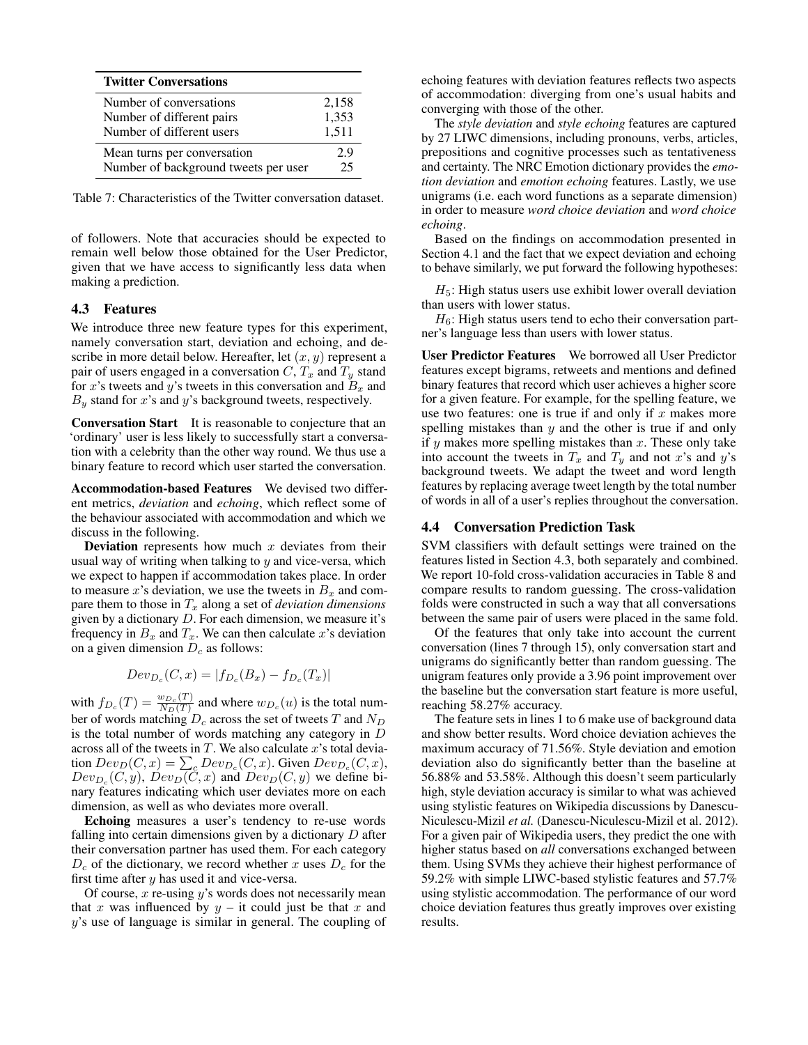| <b>Twitter Conversations</b>         |       |
|--------------------------------------|-------|
| Number of conversations              | 2,158 |
| Number of different pairs            | 1,353 |
| Number of different users            | 1,511 |
| Mean turns per conversation          | 29    |
| Number of background tweets per user | 25    |

Table 7: Characteristics of the Twitter conversation dataset.

of followers. Note that accuracies should be expected to remain well below those obtained for the User Predictor, given that we have access to significantly less data when making a prediction.

#### 4.3 Features

We introduce three new feature types for this experiment, namely conversation start, deviation and echoing, and describe in more detail below. Hereafter, let  $(x, y)$  represent a pair of users engaged in a conversation  $C, T_x$  and  $T_y$  stand for x's tweets and y's tweets in this conversation and  $B_x$  and  $B<sub>y</sub>$  stand for x's and y's background tweets, respectively.

Conversation Start It is reasonable to conjecture that an 'ordinary' user is less likely to successfully start a conversation with a celebrity than the other way round. We thus use a binary feature to record which user started the conversation.

Accommodation-based Features We devised two different metrics, *deviation* and *echoing*, which reflect some of the behaviour associated with accommodation and which we discuss in the following.

**Deviation** represents how much  $x$  deviates from their usual way of writing when talking to  $y$  and vice-versa, which we expect to happen if accommodation takes place. In order to measure x's deviation, we use the tweets in  $B_x$  and compare them to those in  $T_x$  along a set of *deviation dimensions* given by a dictionary  $D$ . For each dimension, we measure it's frequency in  $B_x$  and  $T_x$ . We can then calculate x's deviation on a given dimension  $D<sub>c</sub>$  as follows:

$$
Dev_{D_c}(C, x) = |f_{D_c}(B_x) - f_{D_c}(T_x)|
$$

with  $f_{D_c}(T) = \frac{w_{D_c}(T)}{N_D(T)}$  $\frac{w_{D_c}(1)}{N_D(T)}$  and where  $w_{D_c}(u)$  is the total number of words matching  $D_c$  across the set of tweets T and  $N_D$ is the total number of words matching any category in  $D$ across all of the tweets in  $T$ . We also calculate  $x$ 's total deviation  $Dev_D(C, x) = \sum_c Dev_{D_c}(C, x)$ . Given  $Dev_{D_c}(C, x)$ ,  $Dev_{D_c}(C, y)$ ,  $Dev_D(C, x)$  and  $Dev_D(C, y)$  we define binary features indicating which user deviates more on each dimension, as well as who deviates more overall.

Echoing measures a user's tendency to re-use words falling into certain dimensions given by a dictionary  $D$  after their conversation partner has used them. For each category  $D_c$  of the dictionary, we record whether x uses  $D_c$  for the first time after  $y$  has used it and vice-versa.

Of course,  $x$  re-using  $y$ 's words does not necessarily mean that x was influenced by  $y -$  it could just be that x and y's use of language is similar in general. The coupling of

echoing features with deviation features reflects two aspects of accommodation: diverging from one's usual habits and converging with those of the other.

The *style deviation* and *style echoing* features are captured by 27 LIWC dimensions, including pronouns, verbs, articles, prepositions and cognitive processes such as tentativeness and certainty. The NRC Emotion dictionary provides the *emotion deviation* and *emotion echoing* features. Lastly, we use unigrams (i.e. each word functions as a separate dimension) in order to measure *word choice deviation* and *word choice echoing*.

Based on the findings on accommodation presented in Section 4.1 and the fact that we expect deviation and echoing to behave similarly, we put forward the following hypotheses:

 $H_5$ : High status users use exhibit lower overall deviation than users with lower status.

 $H_6$ : High status users tend to echo their conversation partner's language less than users with lower status.

User Predictor Features We borrowed all User Predictor features except bigrams, retweets and mentions and defined binary features that record which user achieves a higher score for a given feature. For example, for the spelling feature, we use two features: one is true if and only if  $x$  makes more spelling mistakes than  $y$  and the other is true if and only if  $y$  makes more spelling mistakes than  $x$ . These only take into account the tweets in  $T_x$  and  $T_y$  and not x's and y's background tweets. We adapt the tweet and word length features by replacing average tweet length by the total number of words in all of a user's replies throughout the conversation.

# 4.4 Conversation Prediction Task

SVM classifiers with default settings were trained on the features listed in Section 4.3, both separately and combined. We report 10-fold cross-validation accuracies in Table 8 and compare results to random guessing. The cross-validation folds were constructed in such a way that all conversations between the same pair of users were placed in the same fold.

Of the features that only take into account the current conversation (lines 7 through 15), only conversation start and unigrams do significantly better than random guessing. The unigram features only provide a 3.96 point improvement over the baseline but the conversation start feature is more useful, reaching 58.27% accuracy.

The feature sets in lines 1 to 6 make use of background data and show better results. Word choice deviation achieves the maximum accuracy of 71.56%. Style deviation and emotion deviation also do significantly better than the baseline at 56.88% and 53.58%. Although this doesn't seem particularly high, style deviation accuracy is similar to what was achieved using stylistic features on Wikipedia discussions by Danescu-Niculescu-Mizil *et al.* (Danescu-Niculescu-Mizil et al. 2012). For a given pair of Wikipedia users, they predict the one with higher status based on *all* conversations exchanged between them. Using SVMs they achieve their highest performance of 59.2% with simple LIWC-based stylistic features and 57.7% using stylistic accommodation. The performance of our word choice deviation features thus greatly improves over existing results.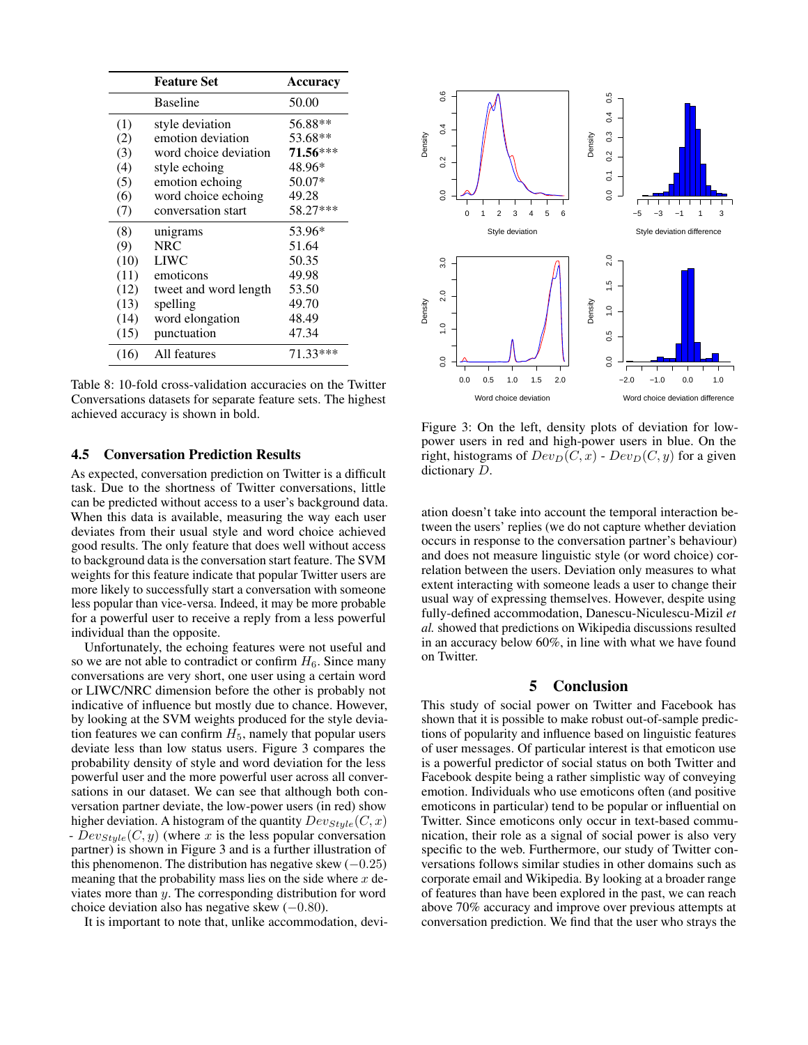|      | <b>Feature Set</b>    | <b>Accuracy</b> |
|------|-----------------------|-----------------|
|      | <b>Baseline</b>       | 50.00           |
| (1)  | style deviation       | 56.88**         |
| (2)  | emotion deviation     | 53.68**         |
| (3)  | word choice deviation | 71.56***        |
| (4)  | style echoing         | 48.96*          |
| (5)  | emotion echoing       | 50.07*          |
| (6)  | word choice echoing   | 49.28           |
| (7)  | conversation start    | 58.27***        |
| (8)  | unigrams              | 53.96*          |
| (9)  | <b>NRC</b>            | 51.64           |
| (10) | <b>LIWC</b>           | 50.35           |
| (11) | emoticons             | 49.98           |
| (12) | tweet and word length | 53.50           |
| (13) | spelling              | 49.70           |
| (14) | word elongation       | 48.49           |
| (15) | punctuation           | 47.34           |
| (16) | All features          | 71.33***        |

Table 8: 10-fold cross-validation accuracies on the Twitter Conversations datasets for separate feature sets. The highest achieved accuracy is shown in bold.

#### 4.5 Conversation Prediction Results

As expected, conversation prediction on Twitter is a difficult task. Due to the shortness of Twitter conversations, little can be predicted without access to a user's background data. When this data is available, measuring the way each user deviates from their usual style and word choice achieved good results. The only feature that does well without access to background data is the conversation start feature. The SVM weights for this feature indicate that popular Twitter users are more likely to successfully start a conversation with someone less popular than vice-versa. Indeed, it may be more probable for a powerful user to receive a reply from a less powerful individual than the opposite.

Unfortunately, the echoing features were not useful and so we are not able to contradict or confirm  $H_6$ . Since many conversations are very short, one user using a certain word or LIWC/NRC dimension before the other is probably not indicative of influence but mostly due to chance. However, by looking at the SVM weights produced for the style deviation features we can confirm  $H_5$ , namely that popular users deviate less than low status users. Figure 3 compares the probability density of style and word deviation for the less powerful user and the more powerful user across all conversations in our dataset. We can see that although both conversation partner deviate, the low-power users (in red) show higher deviation. A histogram of the quantity  $Dev_{Style}(C, x)$ -  $Dev_{Style}(C, y)$  (where x is the less popular conversation partner) is shown in Figure 3 and is a further illustration of this phenomenon. The distribution has negative skew  $(-0.25)$ meaning that the probability mass lies on the side where  $x$  deviates more than y. The corresponding distribution for word choice deviation also has negative skew  $(-0.80)$ .

It is important to note that, unlike accommodation, devi-



Figure 3: On the left, density plots of deviation for lowpower users in red and high-power users in blue. On the right, histograms of  $Dev_D(C, x)$  -  $Dev_D(C, y)$  for a given dictionary D.

ation doesn't take into account the temporal interaction between the users' replies (we do not capture whether deviation occurs in response to the conversation partner's behaviour) and does not measure linguistic style (or word choice) correlation between the users. Deviation only measures to what extent interacting with someone leads a user to change their usual way of expressing themselves. However, despite using fully-defined accommodation, Danescu-Niculescu-Mizil *et al.* showed that predictions on Wikipedia discussions resulted in an accuracy below 60%, in line with what we have found on Twitter.

#### 5 Conclusion

This study of social power on Twitter and Facebook has shown that it is possible to make robust out-of-sample predictions of popularity and influence based on linguistic features of user messages. Of particular interest is that emoticon use is a powerful predictor of social status on both Twitter and Facebook despite being a rather simplistic way of conveying emotion. Individuals who use emoticons often (and positive emoticons in particular) tend to be popular or influential on Twitter. Since emoticons only occur in text-based communication, their role as a signal of social power is also very specific to the web. Furthermore, our study of Twitter conversations follows similar studies in other domains such as corporate email and Wikipedia. By looking at a broader range of features than have been explored in the past, we can reach above 70% accuracy and improve over previous attempts at conversation prediction. We find that the user who strays the